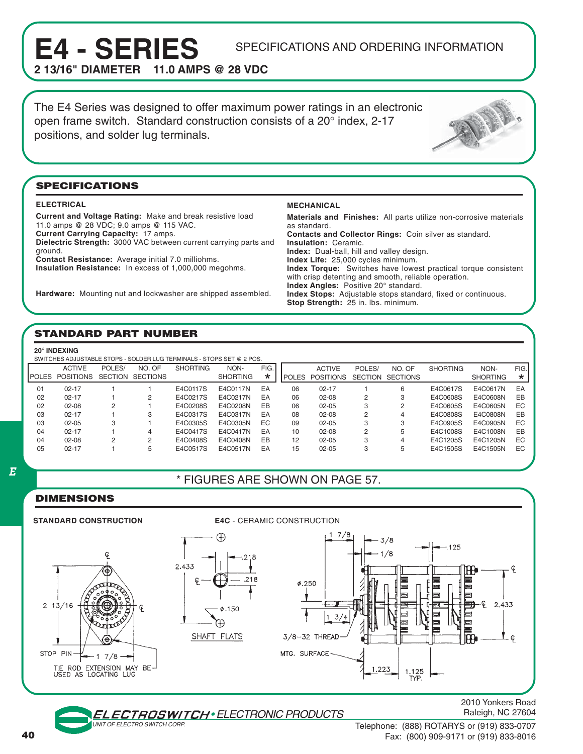# **E4 - SERIES** SPECIFICATIONS AND ORDERING INFORMATION 2.13/16" DIAMETER 11.0 AMPS @ 28 VDC

**21.0 AMPS @ 28 VDC** 

The E4 Series was designed to offer maximum power ratings in an electronic open frame switch. Standard construction consists of a 20° index, 2-17 positions, and solder lug terminals.



#### **SPECIFICATIONS**

#### **ELECTRICAL**

**Current and Voltage Rating:** Make and break resistive load 11.0 amps @ 28 VDC; 9.0 amps @ 115 VAC. **Current Carrying Capacity:** 17 amps. **Dielectric Strength:** 3000 VAC between current carrying parts and ground. **Contact Resistance:** Average initial 7.0 milliohms.

**Insulation Resistance:** In excess of 1,000,000 megohms.

**Hardware:** Mounting nut and lockwasher are shipped assembled.

#### **MECHANICAL**

**Materials and Finishes:** All parts utilize non-corrosive materials as standard. **Contacts and Collector Rings:** Coin silver as standard. **Insulation:** Ceramic. **Index:** Dual-ball, hill and valley design. **Index Life:** 25,000 cycles minimum. **Index Torque:** Switches have lowest practical torque consistent with crisp detenting and smooth, reliable operation. **Index Angles:** Positive 20° standard. **Index Stops:** Adjustable stops standard, fixed or continuous. **Stop Strength:** 25 in. lbs. minimum.

### **STANDARD PART NUMBER**

SWITCHES ADJUSTABLE STOPS - SOLDER LUG TERMINALS - STOPS SET @ 2 POS.

|    | <b>ACTIVE</b><br>POLES POSITIONS | POLES/<br><b>SECTION</b> | NO. OF<br>SECTIONS | <b>SHORTING</b> | NON-<br><b>SHORTING</b> | FIG.<br>* | I POLES | <b>ACTIVE</b><br>POSITIONS | POLES/<br><b>SECTION</b> | NO. OF<br><b>SECTIONS</b> | <b>SHORTING</b> | NON-<br><b>SHORTING</b> | FIG.<br>$\star$ |
|----|----------------------------------|--------------------------|--------------------|-----------------|-------------------------|-----------|---------|----------------------------|--------------------------|---------------------------|-----------------|-------------------------|-----------------|
| 01 | $02 - 17$                        |                          |                    | E4C0117S        | E4C0117N                | EA        | 06      | $02 - 17$                  |                          | 6                         | E4C0617S        | E4C0617N                | EA              |
| 02 | $02 - 17$                        |                          | 2                  | E4C0217S        | E4C0217N                | EA        | 06      | $02 - 08$                  | 2                        | 3                         | E4C0608S        | E4C0608N                | EB              |
| 02 | $02 - 08$                        | 2                        |                    | E4C0208S        | E4C0208N                | EB        | 06      | $02 - 05$                  | 3                        | 2                         | E4C0605S        | E4C0605N                | EC              |
| 03 | $02 - 17$                        |                          | З                  | E4C0317S        | E4C0317N                | EA        | 08      | $02 - 08$                  | 2                        | 4                         | E4C0808S        | E4C0808N                | EB              |
| 03 | $02 - 05$                        | 3                        |                    | E4C0305S        | E4C0305N                | EC        | 09      | $02 - 05$                  | 3                        | 3                         | E4C0905S        | E4C0905N                | EC              |
| 04 | $02 - 17$                        |                          | 4                  | E4C0417S        | E4C0417N                | EA        | 10      | $02 - 08$                  | 2                        | 5                         | E4C1008S        | E4C1008N                | EB              |
| 04 | $02 - 08$                        | 2                        | 2                  | E4C0408S        | E4C0408N                | EB        | 12      | $02 - 05$                  | 3                        | 4                         | E4C1205S        | E4C1205N                | EC              |
| 05 | $02 - 17$                        |                          | 5                  | E4C0517S        | E4C0517N                | EA        | 15      | $02 - 05$                  | 3                        | 5                         | E4C1505S        | E4C1505N                | EC              |

#### E

# \* FIGURES ARE SHOWN ON PAGE 57.

## **DIMENSIONS**



• ELECTRONIC PRODUCTS

2010 Yonkers Road Raleigh, NC 27604

UNIT OF ELECTRO SWITCH CORP.

Telephone: (888) ROTARYS or (919) 833-0707 Fax: (800) 909-9171 or (919) 833-8016